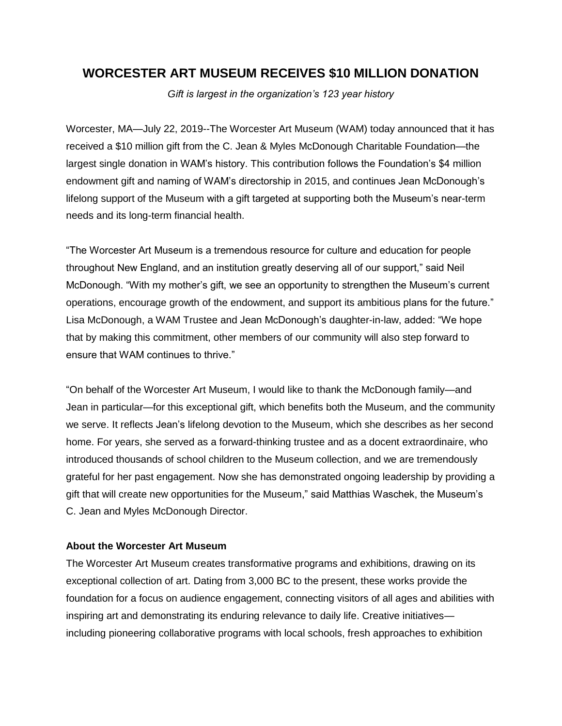## **WORCESTER ART MUSEUM RECEIVES \$10 MILLION DONATION**

*Gift is largest in the organization's 123 year history*

Worcester, MA—July 22, 2019--The Worcester Art Museum (WAM) today announced that it has received a \$10 million gift from the C. Jean & Myles McDonough Charitable Foundation—the largest single donation in WAM's history. This contribution follows the Foundation's \$4 million endowment gift and naming of WAM's directorship in 2015, and continues Jean McDonough's lifelong support of the Museum with a gift targeted at supporting both the Museum's near-term needs and its long-term financial health.

"The Worcester Art Museum is a tremendous resource for culture and education for people throughout New England, and an institution greatly deserving all of our support," said Neil McDonough. "With my mother's gift, we see an opportunity to strengthen the Museum's current operations, encourage growth of the endowment, and support its ambitious plans for the future." Lisa McDonough, a WAM Trustee and Jean McDonough's daughter-in-law, added: "We hope that by making this commitment, other members of our community will also step forward to ensure that WAM continues to thrive."

"On behalf of the Worcester Art Museum, I would like to thank the McDonough family—and Jean in particular—for this exceptional gift, which benefits both the Museum, and the community we serve. It reflects Jean's lifelong devotion to the Museum, which she describes as her second home. For years, she served as a forward-thinking trustee and as a docent extraordinaire, who introduced thousands of school children to the Museum collection, and we are tremendously grateful for her past engagement. Now she has demonstrated ongoing leadership by providing a gift that will create new opportunities for the Museum," said Matthias Waschek, the Museum's C. Jean and Myles McDonough Director.

## **About the Worcester Art Museum**

The Worcester Art Museum creates transformative programs and exhibitions, drawing on its exceptional collection of art. Dating from 3,000 BC to the present, these works provide the foundation for a focus on audience engagement, connecting visitors of all ages and abilities with inspiring art and demonstrating its enduring relevance to daily life. Creative initiatives including pioneering collaborative programs with local schools, fresh approaches to exhibition